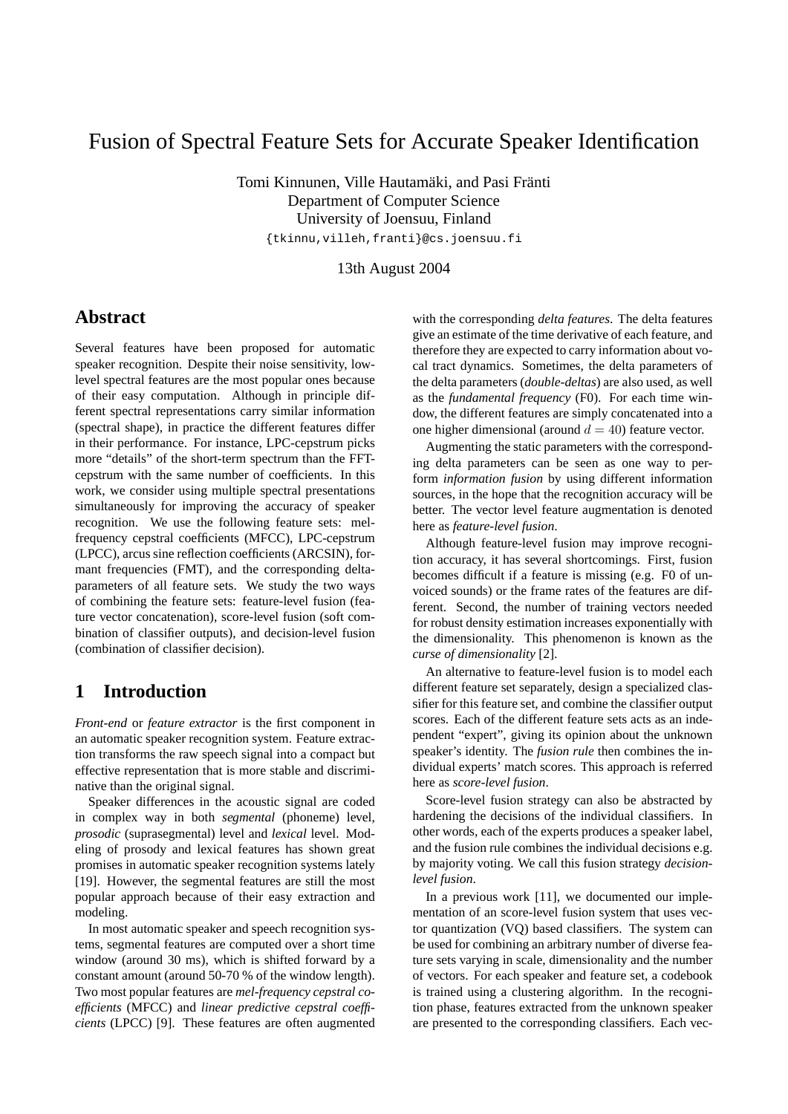# Fusion of Spectral Feature Sets for Accurate Speaker Identification

Tomi Kinnunen, Ville Hautamäki, and Pasi Fränti Department of Computer Science University of Joensuu, Finland {tkinnu,villeh,franti}@cs.joensuu.fi

13th August 2004

# **Abstract**

Several features have been proposed for automatic speaker recognition. Despite their noise sensitivity, lowlevel spectral features are the most popular ones because of their easy computation. Although in principle different spectral representations carry similar information (spectral shape), in practice the different features differ in their performance. For instance, LPC-cepstrum picks more "details" of the short-term spectrum than the FFTcepstrum with the same number of coefficients. In this work, we consider using multiple spectral presentations simultaneously for improving the accuracy of speaker recognition. We use the following feature sets: melfrequency cepstral coefficients (MFCC), LPC-cepstrum (LPCC), arcus sine reflection coefficients (ARCSIN), formant frequencies (FMT), and the corresponding deltaparameters of all feature sets. We study the two ways of combining the feature sets: feature-level fusion (feature vector concatenation), score-level fusion (soft combination of classifier outputs), and decision-level fusion (combination of classifier decision).

# **1 Introduction**

*Front-end* or *feature extractor* is the first component in an automatic speaker recognition system. Feature extraction transforms the raw speech signal into a compact but effective representation that is more stable and discriminative than the original signal.

Speaker differences in the acoustic signal are coded in complex way in both *segmental* (phoneme) level, *prosodic* (suprasegmental) level and *lexical* level. Modeling of prosody and lexical features has shown great promises in automatic speaker recognition systems lately [19]. However, the segmental features are still the most popular approach because of their easy extraction and modeling.

In most automatic speaker and speech recognition systems, segmental features are computed over a short time window (around 30 ms), which is shifted forward by a constant amount (around 50-70 % of the window length). Two most popular features are *mel-frequency cepstral coefficients* (MFCC) and *linear predictive cepstral coefficients* (LPCC) [9]. These features are often augmented with the corresponding *delta features*. The delta features give an estimate of the time derivative of each feature, and therefore they are expected to carry information about vocal tract dynamics. Sometimes, the delta parameters of the delta parameters (*double-deltas*) are also used, as well as the *fundamental frequency* (F0). For each time window, the different features are simply concatenated into a one higher dimensional (around  $d = 40$ ) feature vector.

Augmenting the static parameters with the corresponding delta parameters can be seen as one way to perform *information fusion* by using different information sources, in the hope that the recognition accuracy will be better. The vector level feature augmentation is denoted here as *feature-level fusion*.

Although feature-level fusion may improve recognition accuracy, it has several shortcomings. First, fusion becomes difficult if a feature is missing (e.g. F0 of unvoiced sounds) or the frame rates of the features are different. Second, the number of training vectors needed for robust density estimation increases exponentially with the dimensionality. This phenomenon is known as the *curse of dimensionality* [2].

An alternative to feature-level fusion is to model each different feature set separately, design a specialized classifier for this feature set, and combine the classifier output scores. Each of the different feature sets acts as an independent "expert", giving its opinion about the unknown speaker's identity. The *fusion rule* then combines the individual experts' match scores. This approach is referred here as *score-level fusion*.

Score-level fusion strategy can also be abstracted by hardening the decisions of the individual classifiers. In other words, each of the experts produces a speaker label, and the fusion rule combines the individual decisions e.g. by majority voting. We call this fusion strategy *decisionlevel fusion*.

In a previous work [11], we documented our implementation of an score-level fusion system that uses vector quantization (VQ) based classifiers. The system can be used for combining an arbitrary number of diverse feature sets varying in scale, dimensionality and the number of vectors. For each speaker and feature set, a codebook is trained using a clustering algorithm. In the recognition phase, features extracted from the unknown speaker are presented to the corresponding classifiers. Each vec-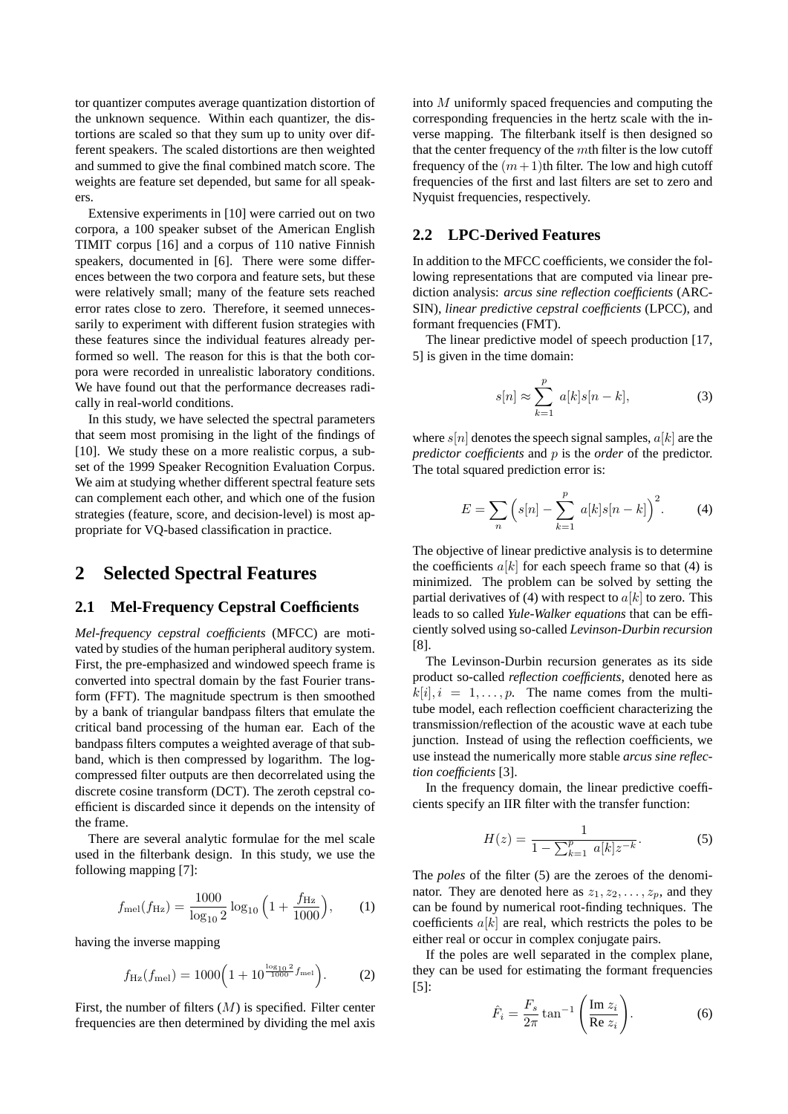tor quantizer computes average quantization distortion of the unknown sequence. Within each quantizer, the distortions are scaled so that they sum up to unity over different speakers. The scaled distortions are then weighted and summed to give the final combined match score. The weights are feature set depended, but same for all speakers.

Extensive experiments in [10] were carried out on two corpora, a 100 speaker subset of the American English TIMIT corpus [16] and a corpus of 110 native Finnish speakers, documented in [6]. There were some differences between the two corpora and feature sets, but these were relatively small; many of the feature sets reached error rates close to zero. Therefore, it seemed unnecessarily to experiment with different fusion strategies with these features since the individual features already performed so well. The reason for this is that the both corpora were recorded in unrealistic laboratory conditions. We have found out that the performance decreases radically in real-world conditions.

In this study, we have selected the spectral parameters that seem most promising in the light of the findings of [10]. We study these on a more realistic corpus, a subset of the 1999 Speaker Recognition Evaluation Corpus. We aim at studying whether different spectral feature sets can complement each other, and which one of the fusion strategies (feature, score, and decision-level) is most appropriate for VQ-based classification in practice.

### **2 Selected Spectral Features**

### **2.1 Mel-Frequency Cepstral Coefficients**

*Mel-frequency cepstral coefficients* (MFCC) are motivated by studies of the human peripheral auditory system. First, the pre-emphasized and windowed speech frame is converted into spectral domain by the fast Fourier transform (FFT). The magnitude spectrum is then smoothed by a bank of triangular bandpass filters that emulate the critical band processing of the human ear. Each of the bandpass filters computes a weighted average of that subband, which is then compressed by logarithm. The logcompressed filter outputs are then decorrelated using the discrete cosine transform (DCT). The zeroth cepstral coefficient is discarded since it depends on the intensity of the frame.

There are several analytic formulae for the mel scale used in the filterbank design. In this study, we use the following mapping [7]:

$$
f_{\text{mel}}(f_{\text{Hz}}) = \frac{1000}{\log_{10} 2} \log_{10} \left( 1 + \frac{f_{\text{Hz}}}{1000} \right), \qquad (1)
$$

having the inverse mapping

$$
f_{\rm Hz}(f_{\rm mel}) = 1000 \left( 1 + 10^{\frac{\log_{10} 2}{1000} f_{\rm mel}} \right). \tag{2}
$$

First, the number of filters  $(M)$  is specified. Filter center frequencies are then determined by dividing the mel axis into M uniformly spaced frequencies and computing the corresponding frequencies in the hertz scale with the inverse mapping. The filterbank itself is then designed so that the center frequency of the mth filter is the low cutoff frequency of the  $(m+1)$ th filter. The low and high cutoff frequencies of the first and last filters are set to zero and Nyquist frequencies, respectively.

#### **2.2 LPC-Derived Features**

In addition to the MFCC coefficients, we consider the following representations that are computed via linear prediction analysis: *arcus sine reflection coefficients* (ARC-SIN), *linear predictive cepstral coefficients* (LPCC), and formant frequencies (FMT).

The linear predictive model of speech production [17, 5] is given in the time domain:

$$
s[n] \approx \sum_{k=1}^{p} a[k]s[n-k], \qquad (3)
$$

where  $s[n]$  denotes the speech signal samples,  $a[k]$  are the *predictor coefficients* and p is the *order* of the predictor. The total squared prediction error is:

$$
E = \sum_{n} \left( s[n] - \sum_{k=1}^{p} a[k]s[n-k] \right)^{2}.
$$
 (4)

The objective of linear predictive analysis is to determine the coefficients  $a[k]$  for each speech frame so that (4) is minimized. The problem can be solved by setting the partial derivatives of (4) with respect to  $a[k]$  to zero. This leads to so called *Yule-Walker equations* that can be efficiently solved using so-called *Levinson-Durbin recursion* [8].

The Levinson-Durbin recursion generates as its side product so-called *reflection coefficients*, denoted here as  $k[i], i = 1, \ldots, p$ . The name comes from the multitube model, each reflection coefficient characterizing the transmission/reflection of the acoustic wave at each tube junction. Instead of using the reflection coefficients, we use instead the numerically more stable *arcus sine reflection coefficients* [3].

In the frequency domain, the linear predictive coefficients specify an IIR filter with the transfer function:

$$
H(z) = \frac{1}{1 - \sum_{k=1}^{p} a[k]z^{-k}}.
$$
 (5)

The *poles* of the filter (5) are the zeroes of the denominator. They are denoted here as  $z_1, z_2, \ldots, z_p$ , and they can be found by numerical root-finding techniques. The coefficients  $a[k]$  are real, which restricts the poles to be either real or occur in complex conjugate pairs.

If the poles are well separated in the complex plane, they can be used for estimating the formant frequencies [5]:

$$
\hat{F}_i = \frac{F_s}{2\pi} \tan^{-1} \left( \frac{\text{Im } z_i}{\text{Re } z_i} \right).
$$
 (6)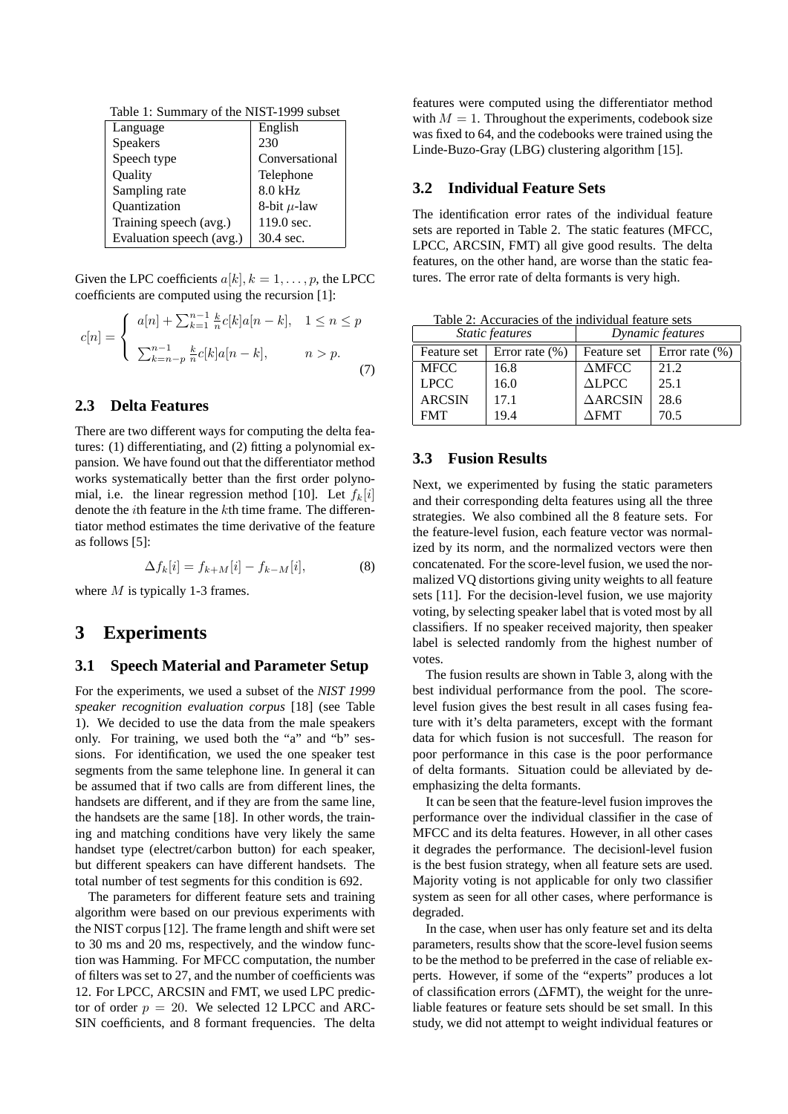Table 1: Summary of the NIST-1999 subset

| Language                 | English          |
|--------------------------|------------------|
| Speakers                 | 230              |
| Speech type              | Conversational   |
| Quality                  | Telephone        |
| Sampling rate            | $8.0$ kHz        |
| Quantization             | 8-bit $\mu$ -law |
| Training speech (avg.)   | 119.0 sec.       |
| Evaluation speech (avg.) | 30.4 sec.        |

Given the LPC coefficients  $a[k], k = 1, \ldots, p$ , the LPCC coefficients are computed using the recursion [1]:

$$
c[n] = \begin{cases} a[n] + \sum_{k=1}^{n-1} \frac{k}{n} c[k] a[n-k], & 1 \le n \le p \\ \sum_{k=n-p}^{n-1} \frac{k}{n} c[k] a[n-k], & n > p. \end{cases}
$$
(7)

### **2.3 Delta Features**

There are two different ways for computing the delta features: (1) differentiating, and (2) fitting a polynomial expansion. We have found out that the differentiator method works systematically better than the first order polynomial, i.e. the linear regression method [10]. Let  $f_k[i]$ denote the ith feature in the kth time frame. The differentiator method estimates the time derivative of the feature as follows [5]:

$$
\Delta f_k[i] = f_{k+M}[i] - f_{k-M}[i],\tag{8}
$$

where  $M$  is typically 1-3 frames.

### **3 Experiments**

#### **3.1 Speech Material and Parameter Setup**

For the experiments, we used a subset of the *NIST 1999 speaker recognition evaluation corpus* [18] (see Table 1). We decided to use the data from the male speakers only. For training, we used both the "a" and "b" sessions. For identification, we used the one speaker test segments from the same telephone line. In general it can be assumed that if two calls are from different lines, the handsets are different, and if they are from the same line, the handsets are the same [18]. In other words, the training and matching conditions have very likely the same handset type (electret/carbon button) for each speaker, but different speakers can have different handsets. The total number of test segments for this condition is 692.

The parameters for different feature sets and training algorithm were based on our previous experiments with the NIST corpus [12]. The frame length and shift were set to 30 ms and 20 ms, respectively, and the window function was Hamming. For MFCC computation, the number of filters was set to 27, and the number of coefficients was 12. For LPCC, ARCSIN and FMT, we used LPC predictor of order  $p = 20$ . We selected 12 LPCC and ARC-SIN coefficients, and 8 formant frequencies. The delta features were computed using the differentiator method with  $M = 1$ . Throughout the experiments, codebook size was fixed to 64, and the codebooks were trained using the Linde-Buzo-Gray (LBG) clustering algorithm [15].

#### **3.2 Individual Feature Sets**

The identification error rates of the individual feature sets are reported in Table 2. The static features (MFCC, LPCC, ARCSIN, FMT) all give good results. The delta features, on the other hand, are worse than the static features. The error rate of delta formants is very high.

Table 2: Accuracies of the individual feature sets

|               | Static features    | Dynamic features   |                    |  |
|---------------|--------------------|--------------------|--------------------|--|
| Feature set   | Error rate $(\% )$ | Feature set        | Error rate $(\% )$ |  |
| <b>MFCC</b>   | 16.8               | $\Delta$ MFCC      | 21.2               |  |
| <b>LPCC</b>   | 16.0               | $\triangle LPCC$   | 25.1               |  |
| <b>ARCSIN</b> | 17.1               | $\triangle$ ARCSIN | 28.6               |  |
| <b>FMT</b>    | 19.4               | $\Lambda$ FMT      | 70.5               |  |

### **3.3 Fusion Results**

Next, we experimented by fusing the static parameters and their corresponding delta features using all the three strategies. We also combined all the 8 feature sets. For the feature-level fusion, each feature vector was normalized by its norm, and the normalized vectors were then concatenated. For the score-level fusion, we used the normalized VQ distortions giving unity weights to all feature sets [11]. For the decision-level fusion, we use majority voting, by selecting speaker label that is voted most by all classifiers. If no speaker received majority, then speaker label is selected randomly from the highest number of votes.

The fusion results are shown in Table 3, along with the best individual performance from the pool. The scorelevel fusion gives the best result in all cases fusing feature with it's delta parameters, except with the formant data for which fusion is not succesfull. The reason for poor performance in this case is the poor performance of delta formants. Situation could be alleviated by deemphasizing the delta formants.

It can be seen that the feature-level fusion improves the performance over the individual classifier in the case of MFCC and its delta features. However, in all other cases it degrades the performance. The decisionl-level fusion is the best fusion strategy, when all feature sets are used. Majority voting is not applicable for only two classifier system as seen for all other cases, where performance is degraded.

In the case, when user has only feature set and its delta parameters, results show that the score-level fusion seems to be the method to be preferred in the case of reliable experts. However, if some of the "experts" produces a lot of classification errors (∆FMT), the weight for the unreliable features or feature sets should be set small. In this study, we did not attempt to weight individual features or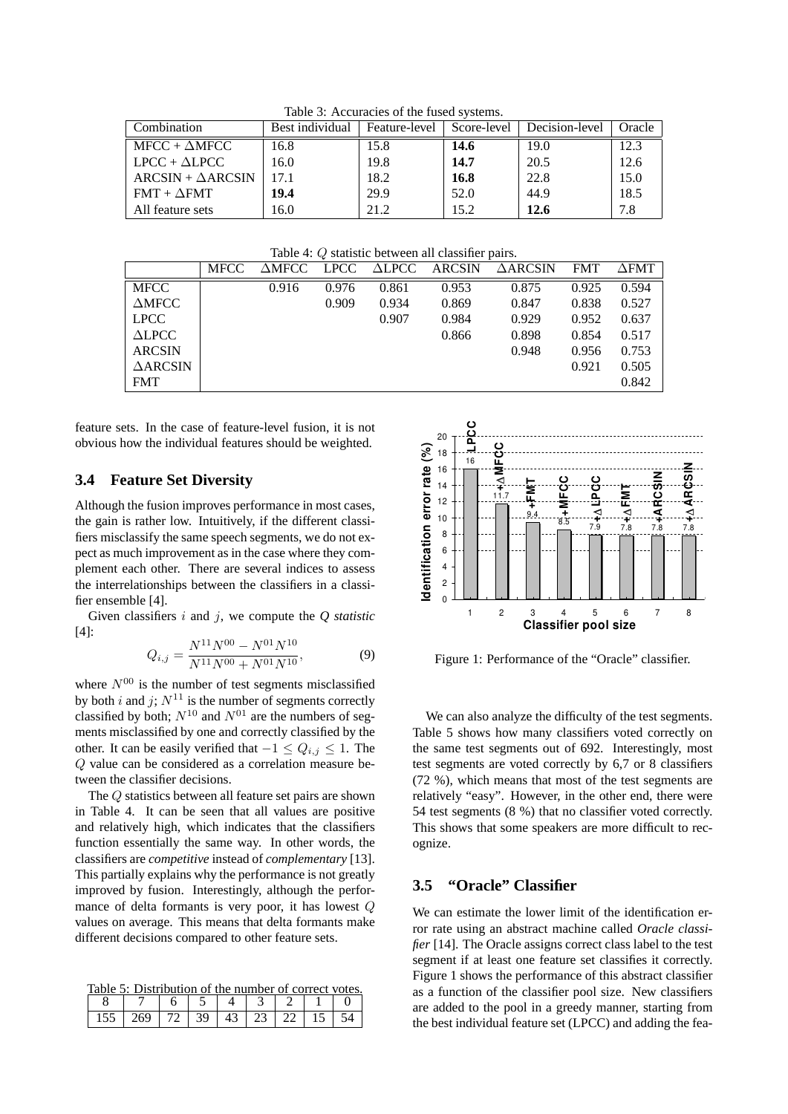| $10010$ $\sigma$ , Theodition of the Tubel proteins. |                 |               |             |                |        |  |  |  |
|------------------------------------------------------|-----------------|---------------|-------------|----------------|--------|--|--|--|
| Combination                                          | Best individual | Feature-level | Score-level | Decision-level | Oracle |  |  |  |
| $MFCC + \Delta MFCC$                                 | 16.8            | 15.8          | 14.6        | 19.0           | 12.3   |  |  |  |
| $LPCC + \Delta LPCC$                                 | 16.0            | 19.8          | 14.7        | 20.5           | 12.6   |  |  |  |
| $ARCSIN + \Delta ARCSIN$                             | 17.1            | 18.2          | 16.8        | 22.8           | 15.0   |  |  |  |
| $FMT + \Delta FMT$                                   | 19.4            | 29.9          | 52.0        | 44.9           | 18.5   |  |  |  |
| All feature sets                                     | 16.0            | 21.2          | 15.2        | 12.6           | 7.8    |  |  |  |

Table 3: Accuracies of the fused systems.

Table 4: Q statistic between all classifier pairs.

|                    | <b>MFCC</b> | $\Delta$ MFCC $^-$ | <b>LPCC</b> | $\triangle LPCC$ | <b>ARCSIN</b> | $\triangle$ ARCSIN | <b>FMT</b> | $\triangle$ FMT |
|--------------------|-------------|--------------------|-------------|------------------|---------------|--------------------|------------|-----------------|
| <b>MFCC</b>        |             | 0.916              | 0.976       | 0.861            | 0.953         | 0.875              | 0.925      | 0.594           |
| $\triangle$ MFCC   |             |                    | 0.909       | 0.934            | 0.869         | 0.847              | 0.838      | 0.527           |
| <b>LPCC</b>        |             |                    |             | 0.907            | 0.984         | 0.929              | 0.952      | 0.637           |
| $\triangle LPCC$   |             |                    |             |                  | 0.866         | 0.898              | 0.854      | 0.517           |
| <b>ARCSIN</b>      |             |                    |             |                  |               | 0.948              | 0.956      | 0.753           |
| $\triangle$ ARCSIN |             |                    |             |                  |               |                    | 0.921      | 0.505           |
| <b>FMT</b>         |             |                    |             |                  |               |                    |            | 0.842           |

feature sets. In the case of feature-level fusion, it is not obvious how the individual features should be weighted.

#### **3.4 Feature Set Diversity**

Although the fusion improves performance in most cases, the gain is rather low. Intuitively, if the different classifiers misclassify the same speech segments, we do not expect as much improvement as in the case where they complement each other. There are several indices to assess the interrelationships between the classifiers in a classifier ensemble [4].

Given classifiers i and j, we compute the *Q statistic* [4]:

$$
Q_{i,j} = \frac{N^{11}N^{00} - N^{01}N^{10}}{N^{11}N^{00} + N^{01}N^{10}},\tag{9}
$$

where  $N^{00}$  is the number of test segments misclassified by both i and j;  $N^{11}$  is the number of segments correctly classified by both;  $N^{10}$  and  $N^{01}$  are the numbers of segments misclassified by one and correctly classified by the other. It can be easily verified that  $-1 \le Q_{i,j} \le 1$ . The Q value can be considered as a correlation measure between the classifier decisions.

The Q statistics between all feature set pairs are shown in Table 4. It can be seen that all values are positive and relatively high, which indicates that the classifiers function essentially the same way. In other words, the classifiers are *competitive* instead of *complementary* [13]. This partially explains why the performance is not greatly improved by fusion. Interestingly, although the performance of delta formants is very poor, it has lowest Q values on average. This means that delta formants make different decisions compared to other feature sets.

Table 5: Distribution of the number of correct votes.

| 155 | $269$   72   39 |  | $-23$   $43$   $23$   $22$   $1$ |  |  |
|-----|-----------------|--|----------------------------------|--|--|



Figure 1: Performance of the "Oracle" classifier.

We can also analyze the difficulty of the test segments. Table 5 shows how many classifiers voted correctly on the same test segments out of 692. Interestingly, most test segments are voted correctly by 6,7 or 8 classifiers (72 %), which means that most of the test segments are relatively "easy". However, in the other end, there were 54 test segments (8 %) that no classifier voted correctly. This shows that some speakers are more difficult to recognize.

### **3.5 "Oracle" Classifier**

We can estimate the lower limit of the identification error rate using an abstract machine called *Oracle classifier* [14]. The Oracle assigns correct class label to the test segment if at least one feature set classifies it correctly. Figure 1 shows the performance of this abstract classifier as a function of the classifier pool size. New classifiers are added to the pool in a greedy manner, starting from the best individual feature set (LPCC) and adding the fea